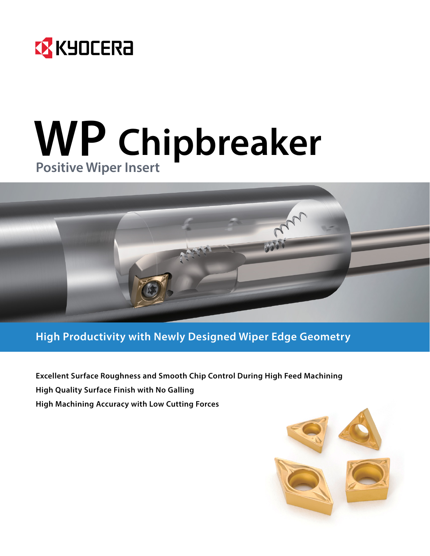

# **WP Chipbreaker Positive Wiper Insert**



## **High Productivity with Newly Designed Wiper Edge Geometry**

**Excellent Surface Roughness and Smooth Chip Control During High Feed Machining High Quality Surface Finish with No Galling High Machining Accuracy with Low Cutting Forces**

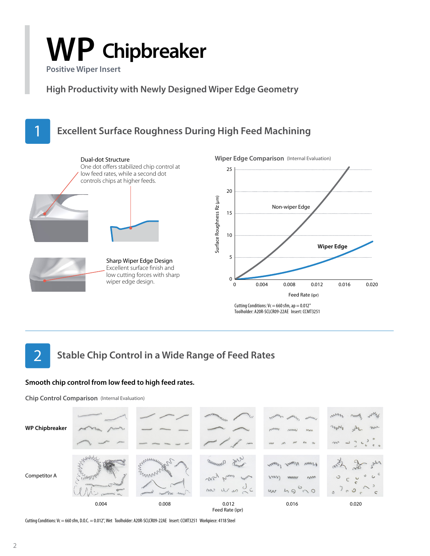# **WP Chipbreaker**

**Positive Wiper Insert**

**High Productivity with Newly Designed Wiper Edge Geometry**



## **Stable Chip Control in a Wide Range of Feed Rates** 2

## **Smooth chip control from low feed to high feed rates.**

**Chip Control Comparison** (Internal Evaluation)



Cutting Conditions: Vc = 660 sfm, D.O.C. = 0.012", Wet Toolholder: A20R-SCLCR09-22AE Insert: CCMT3251 Workpiece: 4118 Steel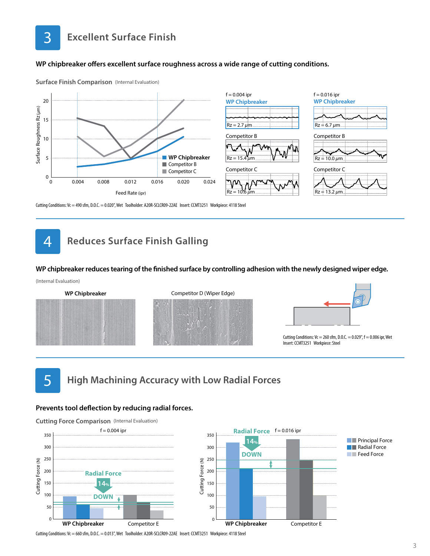

### **WP chipbreaker offers excellent surface roughness across a wide range of cutting conditions.**



3



Cutting Conditions: Vc = 490 sfm, D.O.C. = 0.020", Wet Toolholder: A20R-SCLCR09-22AE Insert: CCMT3251 Workpiece: 4118 Steel

#### **Reduces Surface Finish Galling** 4

#### **WP chipbreaker reduces tearing of the finished surface by controlling adhesion with the newly designed wiper edge.**





## 5

**High Machining Accuracy with Low Radial Forces**

#### **Prevents tool deflection by reducing radial forces.**

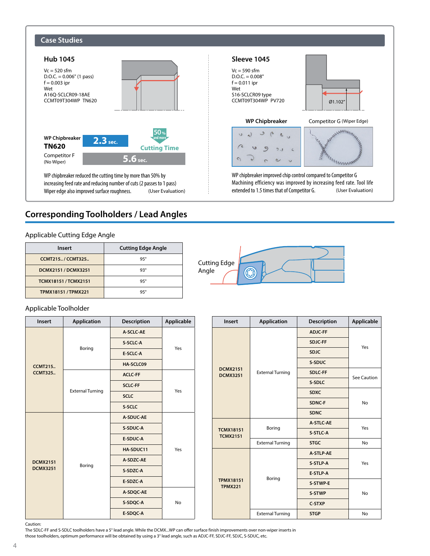

## **Corresponding Toolholders / Lead Angles**

## Applicable Cutting Edge Angle

| <b>Insert</b>              | <b>Cutting Edge Angle</b> |
|----------------------------|---------------------------|
| <b>CCMT215/CCMT325</b>     | $95^\circ$                |
| DCMX2151 / DCMX3251        | 93°                       |
| <b>TCMX18151/TCMX2151</b>  | $95^\circ$                |
| <b>TPMX18151 / TPMX221</b> | $95^\circ$                |

## Applicable Toolholder

| <b>Insert</b>   | <b>Application</b>      | Description    | Applicable |  |  |  |
|-----------------|-------------------------|----------------|------------|--|--|--|
|                 |                         | A-SCLC-AE      |            |  |  |  |
|                 |                         | S-SCLC-A       | Yes        |  |  |  |
|                 | Boring                  | E-SCLC-A       |            |  |  |  |
| <b>CCMT215</b>  |                         | HA-SCLC09      |            |  |  |  |
| <b>CCMT325</b>  |                         | <b>ACLC-FF</b> |            |  |  |  |
|                 | <b>External Turning</b> | <b>SCLC-FF</b> | Yes        |  |  |  |
|                 |                         | <b>SCLC</b>    |            |  |  |  |
|                 |                         | S-SCLC         |            |  |  |  |
|                 | Boring                  | A-SDUC-AE      |            |  |  |  |
|                 |                         | S-SDUC-A       |            |  |  |  |
|                 |                         | E-SDUC-A       |            |  |  |  |
|                 |                         | HA-SDUC11      | Yes        |  |  |  |
| <b>DCMX2151</b> |                         | A-SDZC-AE      |            |  |  |  |
| <b>DCMX3251</b> |                         | S-SDZC-A       |            |  |  |  |
|                 |                         | E-SDZC-A       |            |  |  |  |
|                 |                         | A-SDQC-AE      |            |  |  |  |
|                 |                         | S-SDQC-A       | <b>No</b>  |  |  |  |
|                 |                         | E-SDQC-A       |            |  |  |  |



| Insert                              | <b>Application</b>      | <b>Description</b> | Applicable |  |  |  |
|-------------------------------------|-------------------------|--------------------|------------|--|--|--|
|                                     |                         | <b>ADJC-FF</b>     |            |  |  |  |
|                                     |                         | SDJC-FF            | Yes        |  |  |  |
|                                     |                         |                    |            |  |  |  |
|                                     |                         | S-SDUC             |            |  |  |  |
| <b>DCMX2151</b><br><b>DCMX3251</b>  | <b>External Turning</b> | See Caution        |            |  |  |  |
|                                     |                         | S-SDLC             |            |  |  |  |
|                                     |                         | <b>SDXC</b>        |            |  |  |  |
|                                     |                         | No                 |            |  |  |  |
|                                     |                         | <b>SDNC</b>        |            |  |  |  |
|                                     | Boring                  | A-STLC-AE          | Yes        |  |  |  |
| <b>TCMX18151</b><br><b>TCMX2151</b> |                         | S-STLC-A           |            |  |  |  |
|                                     | <b>External Turning</b> | <b>STGC</b>        | No         |  |  |  |
|                                     |                         | A-STLP-AE          |            |  |  |  |
|                                     |                         | S-STLP-A           | Yes        |  |  |  |
|                                     | Boring                  | E-STLP-A           |            |  |  |  |
| <b>TPMX18151</b><br><b>TPMX221</b>  |                         | S-STWP-E           |            |  |  |  |
|                                     |                         | S-STWP             | No         |  |  |  |
|                                     |                         | <b>C-STXP</b>      |            |  |  |  |
|                                     | <b>External Turning</b> | <b>STGP</b>        | No         |  |  |  |

Caution:

The SDLC-FF and S-SDLC toolholders have a 5° lead angle. While the DCMX...WP can offer surface finish improvements over non-wiper inserts in those toolholders, optimum performance will be obtained by using a 3° lead angle, such as ADJC-FF, SDJC-FF, SDJC, S-SDUC, etc.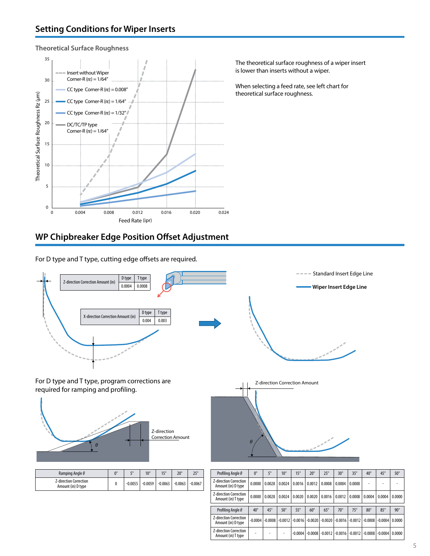**Theoretical Surface Roughness**



The theoretical surface roughness of a wiper insert is lower than inserts without a wiper.

When selecting a feed rate, see left chart for theoretical surface roughness.

## **WP Chipbreaker Edge Position Offset Adjustment**

For D type and T type, cutting edge offsets are required.



| Ramping Angle $\theta$                              | $n^{\circ}$ | $\mathbf{r}$ | $10^{\circ}$ | $15^\circ$ | $20^\circ$ | $25^{\circ}$ |
|-----------------------------------------------------|-------------|--------------|--------------|------------|------------|--------------|
| <b>Z-direction Correction</b><br>Amount (in) D type |             | $-0.0055$    | $-0.0059$    | $-0.0063$  | $-0.0063$  | $-0.0067$    |

| Profiling Angle $\theta$                            | $0^{\circ}$  | $5^\circ$  | $10^{\circ}$                  | $15^\circ$   | $20^\circ$ | $25^\circ$ | $30^\circ$                              | $35^\circ$ | $40^{\circ}$ | $45^{\circ}$ | $50^\circ$ |
|-----------------------------------------------------|--------------|------------|-------------------------------|--------------|------------|------------|-----------------------------------------|------------|--------------|--------------|------------|
| <b>Z-direction Correction</b><br>Amount (in) D type | 0.0000       | 0.0028     | 0.0024                        | 0.0016       | 0.0012     | 0.0008     | 0.0004                                  | 0.0000     |              |              |            |
| <b>Z-direction Correction</b><br>Amount (in) T type | 0.0000       | 0.0028     | 0.0024                        | 0.0020       | 0.0020     | 0.0016     | 0.0012                                  | 0.0008     | 0.0004       | 0.0004       | 0.0000     |
|                                                     |              |            |                               |              |            |            |                                         |            |              |              |            |
| Profiling Angle $\theta$                            | $40^{\circ}$ | $45^\circ$ | $50^\circ$                    | $55^{\circ}$ | $60^\circ$ | $65^\circ$ | $70^\circ$                              | $75^\circ$ | $80^\circ$   | $85^\circ$   | $90^\circ$ |
| <b>Z-direction Correction</b>                       |              |            |                               |              |            |            |                                         |            |              |              |            |
| Amount (in) D type                                  | $-0.0004$    |            | $-0.0008$ $-0.0012$ $-0.0016$ |              | $-0.0020$  |            | $-0.0020$ $-0.0016$ $-0.0012$ $-0.0008$ |            |              | $-0.0004$    | 0.0000     |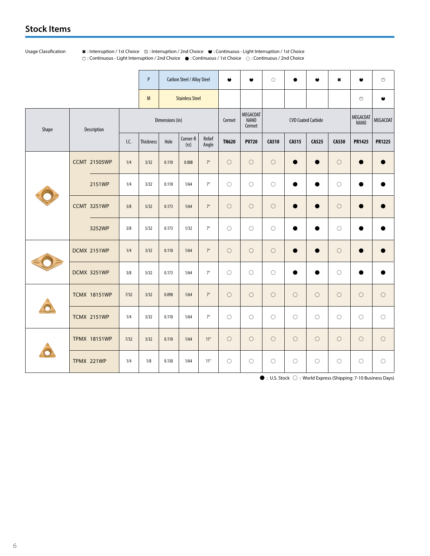## **Stock Items**

Usage Classification  $\ast$ : Interruption / 1st Choice  $\otimes$ : Interruption / 2nd Choice  $\bullet$ : Continuous - Light Interruption / 1st Choice : Continuous - Light Interruption / 2nd Choice : Continuous / 1st Choice : Continuous / 2nd Choice

|                      |                             |      | P               |       | Carbon Steel / Alloy Steel |                 | $\bullet$                         | $\bullet$                 | $\circ$      | $\bullet$    | $\bullet$      | $\pmb{\ast}$            | $\bullet$       | $\mathfrak{S}$ |
|----------------------|-----------------------------|------|-----------------|-------|----------------------------|-----------------|-----------------------------------|---------------------------|--------------|--------------|----------------|-------------------------|-----------------|----------------|
|                      | <b>Stainless Steel</b><br>M |      |                 |       |                            |                 |                                   |                           |              |              | $\mathfrak{S}$ | ٠                       |                 |                |
| Shape<br>Description |                             |      | Dimensions (in) |       |                            | Cermet          | MEGACOAT<br><b>NANO</b><br>Cermet | <b>CVD Coated Carbide</b> |              |              |                | <b>MEGACOAT</b><br>NANO | <b>MEGACOAT</b> |                |
|                      |                             | I.C. | Thickness       | Hole  | Corner-R<br>$(r\epsilon)$  | Relief<br>Angle | <b>TN620</b>                      | <b>PV720</b>              | <b>CA510</b> | <b>CA515</b> | <b>CA525</b>   | <b>CA530</b>            | <b>PR1425</b>   | <b>PR1225</b>  |
|                      | <b>CCMT 21505WP</b>         | 1/4  | 3/32            | 0.110 | 0.008                      | $7^{\circ}$     | $\circ$                           | $\bigcirc$                | $\bigcirc$   | $\bullet$    |                | $\bigcirc$              | ●               |                |
|                      | 2151WP                      | 1/4  | 3/32            | 0.110 | 1/64                       | $7^{\circ}$     | $\bigcirc$                        | $\circ$                   | $\circ$      |              |                | $\circ$                 |                 |                |
|                      | <b>CCMT 3251WP</b>          | 3/8  | 5/32            | 0.173 | 1/64                       | $7^{\circ}$     | $\bigcirc$                        | $\bigcirc$                | $\circ$      | $\bullet$    | $\bullet$      | $\bigcirc$              | $\bullet$       |                |
|                      | 3252WP                      | 3/8  | 5/32            | 0.173 | 1/32                       | $7^{\circ}$     | $\bigcirc$                        | $\bigcirc$                | $\bigcirc$   |              |                | $\circ$                 |                 |                |
|                      | <b>DCMX 2151WP</b>          | 1/4  | 3/32            | 0.110 | 1/64                       | $7^\circ$       | $\circ$                           | $\circ$                   | $\bigcirc$   | $\bullet$    | $\bullet$      | $\circ$                 |                 |                |
|                      | <b>DCMX 3251WP</b>          | 3/8  | 5/32            | 0.173 | 1/64                       | $7^\circ$       | $\circ$                           | $\bigcirc$                | $\circ$      | $\bullet$    |                | $\bigcirc$              | ●               |                |
|                      | <b>TCMX 18151WP</b>         | 7/32 | 3/32            | 0.098 | 1/64                       | $7^\circ$       | $\bigcirc$                        | $\circ$                   | $\circ$      | $\bigcirc$   | $\circ$        | $\circ$                 | $\bigcirc$      | $\bigcirc$     |
|                      | <b>TCMX 2151WP</b>          | 1/4  | 3/32            | 0.110 | 1/64                       | $7^\circ$       | $\circ$                           | $\bigcirc$                | $\bigcirc$   | $\circ$      | $\circ$        | $\bigcirc$              | $\bigcirc$      | $\bigcirc$     |
|                      | <b>TPMX 18151WP</b>         | 7/32 | 3/32            | 0.110 | 1/64                       | $11^{\circ}$    | $\bigcirc$                        | $\circ$                   | $\bigcirc$   | $\bigcirc$   | $\circ$        | $\circ$                 | $\bigcirc$      | $\bigcirc$     |
|                      | TPMX 221WP                  | 1/4  | 1/8             | 0.130 | 1/64                       | $11^{\circ}$    | $\bigcirc$                        | $\bigcirc$                | $\bigcirc$   | $\bigcirc$   | $\circ$        | $\bigcirc$              | $\bigcirc$      | $\bigcirc$     |

 $\bullet$  : U.S. Stock  $\bigcirc$  : World Express (Shipping: 7-10 Business Days)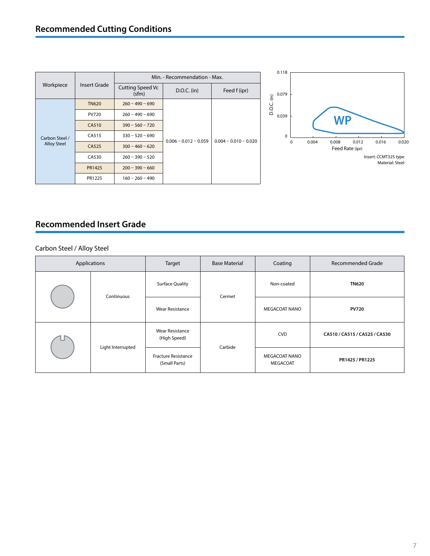|                    |              |                                  | Min. - Recommendation - Max. |                         |  |
|--------------------|--------------|----------------------------------|------------------------------|-------------------------|--|
| Workpiece          | Insert Grade | <b>Cutting Speed Vc</b><br>(sfm) | $D.O.C.$ (in)                | Feed f (ipr)            |  |
|                    | <b>TN620</b> | $260 - 490 - 690$                |                              |                         |  |
| Carbon Steel /     | <b>PV720</b> | $260 - 490 - 690$                |                              |                         |  |
|                    | CA510        | $390 - 560 - 720$                |                              | $0.004 - 0.010 - 0.020$ |  |
|                    | CA515        | $330 - 520 - 690$                | $0.006 - 0.012 - 0.059$      |                         |  |
| <b>Alloy Steel</b> | CA525        | $300 - 460 - 620$                |                              |                         |  |
|                    | CA530        | $260 - 390 - 520$                |                              |                         |  |
|                    | PR1425       | $200 - 390 - 660$                |                              |                         |  |
|                    | PR1225       | $160 - 260 - 490$                |                              |                         |  |



## **Recommended Insert Grade**

## Carbon Steel / Alloy Steel

|            | Applications      |                                             | <b>Base Material</b><br>Target |                                  | Recommended Grade             |
|------------|-------------------|---------------------------------------------|--------------------------------|----------------------------------|-------------------------------|
| Continuous |                   | <b>Surface Quality</b>                      | Cermet                         | Non-coated                       | <b>TN620</b>                  |
|            |                   | <b>Wear Resistance</b>                      |                                | <b>MEGACOAT NANO</b>             | <b>PV720</b>                  |
|            | Light Interrupted | <b>Wear Resistance</b><br>(High Speed)      | Carbide                        | <b>CVD</b>                       | CA510 / CA515 / CA525 / CA530 |
|            |                   | <b>Fracture Resistance</b><br>(Small Parts) |                                | <b>MEGACOAT NANO</b><br>MEGACOAT | PR1425 / PR1225               |